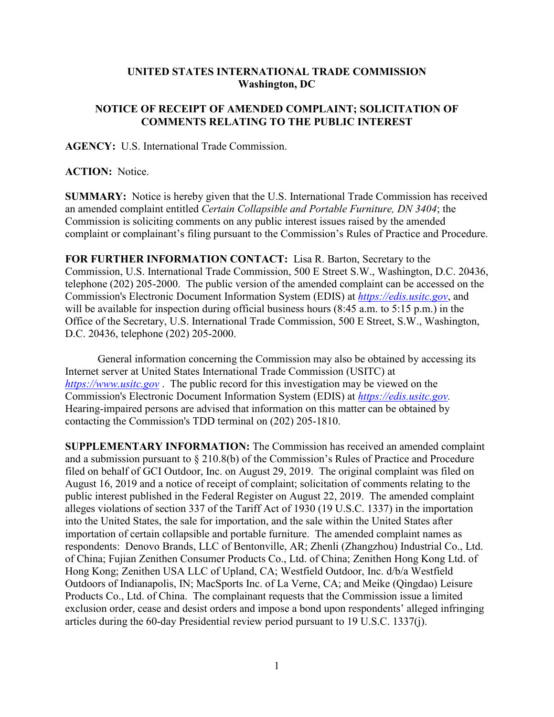## **UNITED STATES INTERNATIONAL TRADE COMMISSION Washington, DC**

## **NOTICE OF RECEIPT OF AMENDED COMPLAINT; SOLICITATION OF COMMENTS RELATING TO THE PUBLIC INTEREST**

**AGENCY:** U.S. International Trade Commission.

**ACTION:** Notice.

**SUMMARY:** Notice is hereby given that the U.S. International Trade Commission has received an amended complaint entitled *Certain Collapsible and Portable Furniture, DN 3404*; the Commission is soliciting comments on any public interest issues raised by the amended complaint or complainant's filing pursuant to the Commission's Rules of Practice and Procedure.

**FOR FURTHER INFORMATION CONTACT:** Lisa R. Barton, Secretary to the Commission, U.S. International Trade Commission, 500 E Street S.W., Washington, D.C. 20436, telephone (202) 205-2000. The public version of the amended complaint can be accessed on the Commission's Electronic Document Information System (EDIS) at *[https://edis.usitc.gov](https://edis.usitc.gov/)*, and will be available for inspection during official business hours (8:45 a.m. to 5:15 p.m.) in the Office of the Secretary, U.S. International Trade Commission, 500 E Street, S.W., Washington, D.C. 20436, telephone (202) 205-2000.

General information concerning the Commission may also be obtained by accessing its Internet server at United States International Trade Commission (USITC) at *[https://www.usitc.gov](https://www.usitc.gov/)* . The public record for this investigation may be viewed on the Commission's Electronic Document Information System (EDIS) at *[https://edis.usitc.gov.](https://edis.usitc.gov/)* Hearing-impaired persons are advised that information on this matter can be obtained by contacting the Commission's TDD terminal on (202) 205-1810.

**SUPPLEMENTARY INFORMATION:** The Commission has received an amended complaint and a submission pursuant to  $\S 210.8(b)$  of the Commission's Rules of Practice and Procedure filed on behalf of GCI Outdoor, Inc. on August 29, 2019. The original complaint was filed on August 16, 2019 and a notice of receipt of complaint; solicitation of comments relating to the public interest published in the Federal Register on August 22, 2019. The amended complaint alleges violations of section 337 of the Tariff Act of 1930 (19 U.S.C. 1337) in the importation into the United States, the sale for importation, and the sale within the United States after importation of certain collapsible and portable furniture. The amended complaint names as respondents: Denovo Brands, LLC of Bentonville, AR; Zhenli (Zhangzhou) Industrial Co., Ltd. of China; Fujian Zenithen Consumer Products Co., Ltd. of China; Zenithen Hong Kong Ltd. of Hong Kong; Zenithen USA LLC of Upland, CA; Westfield Outdoor, Inc. d/b/a Westfield Outdoors of Indianapolis, IN; MacSports Inc. of La Verne, CA; and Meike (Qingdao) Leisure Products Co., Ltd. of China. The complainant requests that the Commission issue a limited exclusion order, cease and desist orders and impose a bond upon respondents' alleged infringing articles during the 60-day Presidential review period pursuant to 19 U.S.C. 1337(j).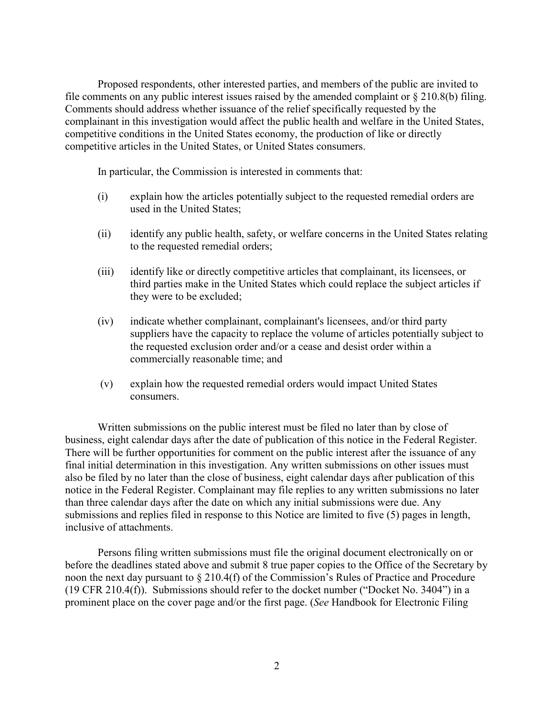Proposed respondents, other interested parties, and members of the public are invited to file comments on any public interest issues raised by the amended complaint or § 210.8(b) filing. Comments should address whether issuance of the relief specifically requested by the complainant in this investigation would affect the public health and welfare in the United States, competitive conditions in the United States economy, the production of like or directly competitive articles in the United States, or United States consumers.

In particular, the Commission is interested in comments that:

- (i) explain how the articles potentially subject to the requested remedial orders are used in the United States;
- (ii) identify any public health, safety, or welfare concerns in the United States relating to the requested remedial orders;
- (iii) identify like or directly competitive articles that complainant, its licensees, or third parties make in the United States which could replace the subject articles if they were to be excluded;
- (iv) indicate whether complainant, complainant's licensees, and/or third party suppliers have the capacity to replace the volume of articles potentially subject to the requested exclusion order and/or a cease and desist order within a commercially reasonable time; and
- (v) explain how the requested remedial orders would impact United States consumers.

Written submissions on the public interest must be filed no later than by close of business, eight calendar days after the date of publication of this notice in the Federal Register. There will be further opportunities for comment on the public interest after the issuance of any final initial determination in this investigation. Any written submissions on other issues must also be filed by no later than the close of business, eight calendar days after publication of this notice in the Federal Register. Complainant may file replies to any written submissions no later than three calendar days after the date on which any initial submissions were due. Any submissions and replies filed in response to this Notice are limited to five (5) pages in length, inclusive of attachments.

Persons filing written submissions must file the original document electronically on or before the deadlines stated above and submit 8 true paper copies to the Office of the Secretary by noon the next day pursuant to § 210.4(f) of the Commission's Rules of Practice and Procedure (19 CFR 210.4(f)). Submissions should refer to the docket number ("Docket No. 3404") in a prominent place on the cover page and/or the first page. (*See* Handbook for Electronic Filing